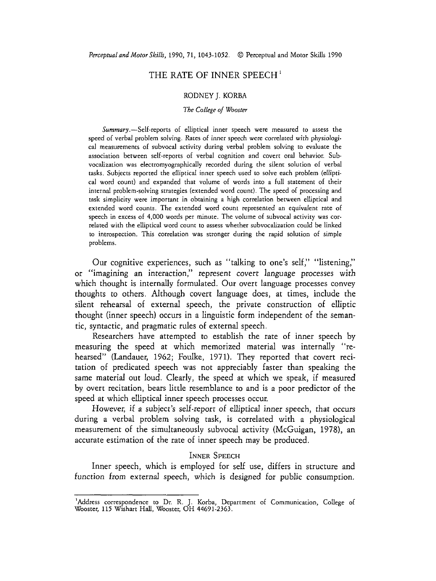## THE RATE OF INNER SPEECH '

### RODNEY J. KORBA

#### *The College of Wooster*

**Stirnrnary.-Self-reports** of elliptical inner speech were measured to assess the speed of verbal problem solving. Rates of inner speech were correlated with physiological measurements of subvocal activity during verbal problem solving to evaluate the association between self-reports of verbal cognition and covert oral behavior. Subvocalization was electromyographically recorded during the silent solution of verbal tasks. Subjects reporred the elliptical inner speech used to solve each problem (elliptical word count) and expanded that volume of words into a full statement of their internal problem-solving strategies (extended word count). The speed of processing and task simplicity were important in obtaining a high correlation between elliptical and extended word counts. The extended word count represented an equivalent rate of speech in excess of 4,000 words per minute. The volume of subvocal activity was correlated with the elliptical word count to assess whether subvocalization could be linked to introspection. This correlation was stronger during the rapid solution of simple problems.

Our cognitive experiences, such as "talking to one's self,'' "listening," or "imagining an interaction," represent covert language processes with which thought is internally formulated. Our overt language processes convey thoughts to others. Although covert language does, at times, include the silent rehearsal of external speech, the private construction of elliptic thought (inner speech) occurs in a linguistic form independent of the semantic, syntactic, and pragmatic rules of external speech.

Researchers have attempted to establish the rate of inner speech by measuring the speed at which memorized material was internally "rehearsed" (Landauer, 1962; Foulke, 1971). They reported that covert recitation of predicated speech was not appreciably faster than speaking the same material out loud. Clearly, the speed at which we speak, if measured by overt recitation, bears little resemblance to and is a poor predictor of the speed at which elliptical inner speech processes occur.

However, if a subject's self-report of elliptical inner speech, that occurs during a verbal problem solving task, is correlated with a physiological measurement of the simultaneously subvocal activity (McGuigan, 1978), an accurate estimation of the rate of inner speech may be produced.

## **INNER** SPEECH

Inner speech, which is employed for self use, differs in structure and function from external speech, which is designed for public consumption.

<sup>&#</sup>x27;Address correspondence to Dr. R. J. Korba, Department of Communication, College of Wooster, 115 Wishart Hall, Wooster, OH 44691-2363.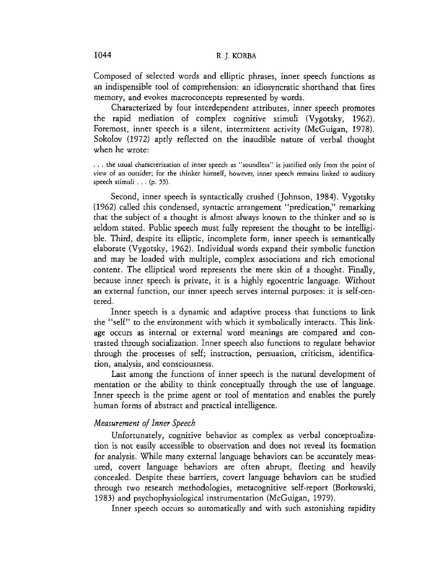Composed of selected words and elliptic phrases, inner speech functions as an indispensible tool of comprehension: an idiosyncratic shorthand that fires memory, and evokes macroconcepts represented by words.

Characterized by four interdependent attributes, inner speech promotes the rapid mediation of complex cognitive stimuli (Vygotsky, 1962). Foremost, inner speech is a silent, intermittent activity (McGuigan, 1978). Sokolov (1972) aptly reflected on the inaudible nature of verbal thought when he wrote:

. . . the usual characterization of inner speech as "soundless" is justified only **from** the point of view of an outsider; for the thinker himself, however, inner speech remains linked to auditory speech stimuli . . . **(p.** *55).* 

Second, inner speech is syntactically crushed (Johnson, 1984). Vygotsky (1962) called this condensed, syntactic arrangement "predication," remarking that the subject of a thought is almost always known to the thinker and so is seldom stated. Public speech must fully represent the thought to be intelligible. Third, despite its elliptic, incomplete form, inner speech is semantically elaborate (Vygotsky, 1962). Individual words expand their symbolic function and may be loaded with multiple, complex associations and rich emotional content. The elliptical word represents the mere skin of a thought. Finally, because inner speech is private, it is a highly egocentric language. Without an external function, our inner speech serves internal purposes: it is self-centered.

Inner speech is a dynamic and adaptive process that functions to **link**  the "self" to the environment with which it symbolically interacts. This linkage occurs as internal or external word meanings are compared and contrasted through socialization. Inner speech also functions to regulate behavior through the processes of self; instruction, persuasion, criticism, identification, analysis, and consciousness.

Last among the functions of inner speech is the natural development of mentation or the ability to think conceptually through the use of language. Inner speech is the prime agent or tool of mentation and enables the purely human forms of abstract and practical intelligence.

#### *Measurement of Inner Speech*

Unfortunately, cognitive behavior as complex as verbal conceptualization is not easily accessible to observation and does not reveal its formation for analysis. While many external language behaviors can be accurately measured, covert language behaviors are often abrupt, fleeting and heavily concealed. Despite these barriers, covert language behaviors can be studied through two research methodologies, metacognitive self-report (Borkowski, 1983) and psychophysiological instrumentation (McGuigan, 1979).

Inner speech occurs so automatically and with such astonishing rapidity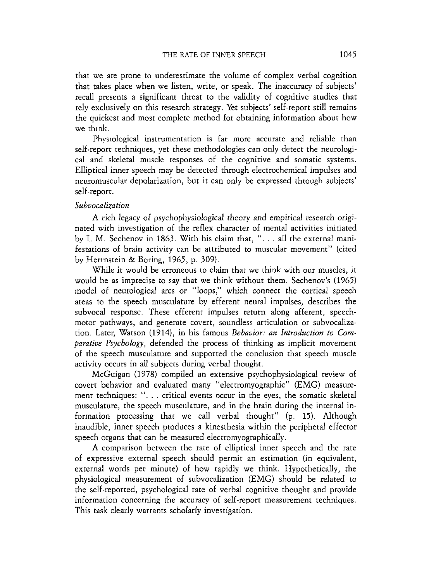that we are prone to underestimate the volume of complex verbal cognition that takes place when we listen, write, or speak. The inaccuracy of subjects' recall presents a significant threat to the validity of cognitive studies that rely exclusively on this research strategy. Yet subjects' self-report still remains the quickest and most complete method for obtaining information about how  $we$  think.

Physiological instrumentation is far more accurate and reliable than self-report techniques, yet these methodologies can only detect the neurological and skeletal muscle responses of the cognitive and somatic systems. Elliptical inner speech may be detected through electrochemical impulses and neuromuscular depolarization, but it can only be expressed through subjects' self-report.

## *Subvocalization*

A rich legacy of psychophysiological theory and empirical research originated with investigation of the reflex character of mental activities initiated by I. M. Sechenov in 1863. With his claim that, ". . . all the external manifestations of brain activity can be attributed to muscular movement" (cited by Herrnstein & Boring, 1965, p. 309).

While it would be erroneous to claim that we think with our muscles, it would be as imprecise to say that we think without them. Sechenov's (1965) model of neurological arcs or "loops," which connect the cortical speech areas to the speech musculature by efferent neural impulses, describes the subvocal response. These efferent impulses return along afferent, speechmotor pathways, and generate covert, soundless articulation or subvocalization. Later, Watson (1914), in his famous *Behavior: an Introduction to Comparative Psychology,* defended the process of thinking as implicit movement of the speech musculature and supported the conclusion that speech muscle activity occurs in **all** subjects during verbal thought.

McGuigan (1978) compiled an extensive psychophysiological review of covert behavior and evaluated many "electromyographic" (EMG) measurement techniques: ". . . critical events occur in the eyes, the somatic skeletal musculature, the speech musculature, and in the brain during the internal information processing that we call verbal thought" (p. 15). Although inaudible, inner speech produces a kinesthesia within the peripheral effector speech organs that can be measured electromyographically.

A comparison between the rate of elliptical inner speech and the rate of expressive external speech should permit an estimation (in equivalent, external words per minute) of how rapidly we think. Hypothetically, the physiological measurement of subvocalization (EMG) should be related to the self-reported, psychological rate of verbal cognitive thought and provide information concerning the accuracy of self-report measurement techniques. This task clearly warrants scholarly investigation.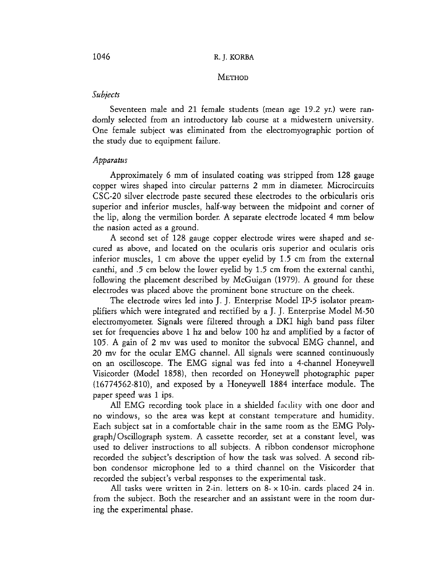## **METHOD**

### Subjects

Seventeen male and 21 female students (mean age 19.2 yr.) were randomly selected from an introductory lab course at a midwestern university. One female subject was eliminated from the electromyographic portion of the study due to equipment failure.

### *Apparatus*

Approximately 6 mm of insulated coating was stripped from 128 gauge copper wires shaped into circular patterns 2 mm in diameter. Microcircuits CSC-20 silver electrode paste secured these electrodes to the orbicularis oris superior and inferior muscles, half-way between the midpoint and corner of the lip, along the vermilion border. A separate electrode located 4 mm below the nasion acted as a ground.

A second set of 128 gauge copper electrode wires were shaped and secured as above, and located on the ocularis oris superior and ocularis oris inferior muscles, 1 cm above the upper eyelid by 1.5 cm from the external canthi, and .5 cm below the lower eyelid by 1.5 cm from the external canthi, following the placement described by McGuigan (1979). A ground for these electrodes was placed above the prominent bone structure on the cheek.

The electrode wires led into J. J. Enterprise Model IP-5 isolator preamplifiers which were integrated and rectified by a J. J. Enterprise Model M-50 electromyometer. Signals were filtered through a DKI high band pass filter set for frequencies above 1 hz and below 100 hz and amplified by a factor of 105. A gain of 2 mv was used to monitor the subvocal EMG channel, and 20 mv for the ocular EMG channel. All signals were scanned continuously on an oscilloscope. The EMG signal was fed into a 4-channel Honeywell Visicorder (Model 1858), then recorded on Honeywell photographic paper (16774562-810), and exposed by a Honeywell 1884 interface module. The paper speed was 1 ips.

All EMG recording took place in a shielded facility with one door and no windows, so the area was kept at constant temperature and humidity. Each subject sat in a comfortable chair in the same room as the EMG Polygraph/Oscillograph system. A cassette recorder, set at a constant level, was used to deliver instructions to **all** subjects. A ribbon condensor microphone recorded the subject's description of how the task was solved. A second ribbon condensor microphone led to a third channel on the Visicorder that recorded the subject's verbal responses to the experimental task.

All tasks were written in 2-in. letters on 8- **x** lO-in. cards placed 24 in. from the subject. Both the researcher and an assistant were in the room during the experimental phase.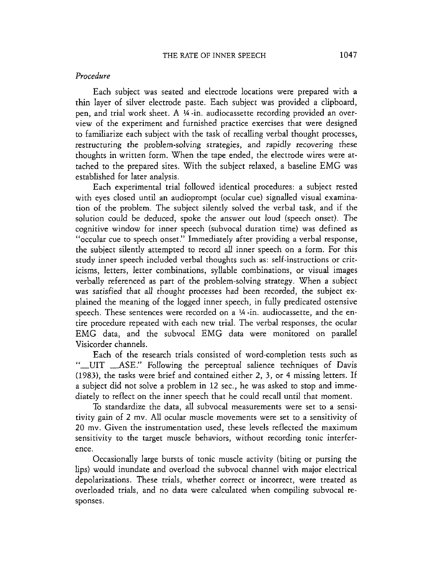#### *Procedure*

Each subject was seated and electrode locations were prepared with a thin layer of silver electrode paste. Each subject was provided a clipboard, pen, and trial work sheet. **A 1/4** -in. audiocassette recording provided an overview of the experiment and furnished practice exercises that were designed to familiarize each subject with the task of recalling verbal thought processes, restructuring the problem-solving strategies, and rapidly recovering these thoughts in written form. When the tape ended, the electrode wires were attached to the prepared sites. With the subject relaxed, a baseline EMG was established for later analysis.

Each experimental trial followed identical procedures: a subject rested with eyes closed until an audioprompt (ocular cue) signalled visual examination of the problem. The subject silently solved the verbal task, and if the solution could be deduced, spoke the answer out loud (speech onset). The cognitive window for inner speech (subvocal duration time) was defined as "occular cue to speech onset." Immediately after providing a verbal response, the subject silently attempted to record all inner speech on a form. For this study inner speech included verbal thoughts such as: self-instructions or criticisms, letters, letter combinations, syllable combinations, or visual images verbally referenced as part of the problem-solving strategy. When a subject was satisfied that all thought processes had been recorded, the subject explained the meaning of the logged inner speech, in fully predicated ostensive speech. These sentences were recorded on a  $4/4$ -in. audiocassette, and the entire procedure repeated with each new trial. The verbal responses, the ocular EMG data, and the subvocal EMG data were monitored on parallel Visicorder channels.

Each of the research trials consisted of word-completion tests such as "-UIT ASE." Following the perceptual salience techniques of Davis (1983), the tasks were brief and contained either 2, **3,** or 4 missing letters. If a subject did not solve a problem in 12 sec., he was asked to stop and immediately to reflect on the inner speech that he could recall until that moment.

To standardize the data, all subvocal measurements were set to a sensitivity gain of 2 mv. All ocular muscle movements were set to a sensitivity of 20 mv. Given the instrumentation used, these levels reflected the maximum sensitivity to the target muscle behaviors, without recording tonic interference.

Occasionally large bursts of tonic muscle activity (biting or pursing the lips) would inundate and overload the subvocal channel with major electrical depolarizations. These trials, whether correct or incorrect, were treated as overloaded trials, and no data were calculated when compiling subvocal responses.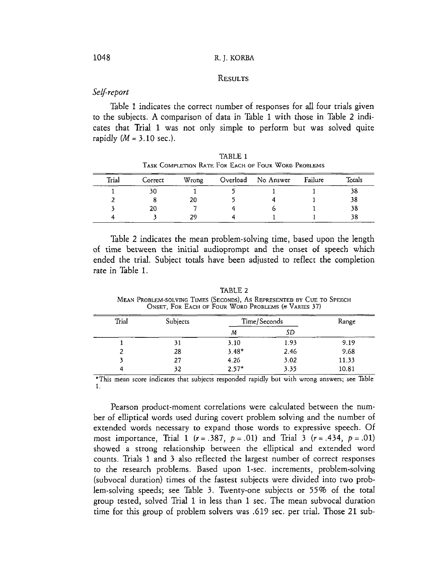### **RESULTS**

## *Self-report*

Table 1 indicates the correct number of responses for **all** four trials given to the subjects. **A** comparison of data in Table 1 with those in Table 2 indicates that Trial 1 was not only simple to perform but was solved quite rapidly  $(M = 3.10 \text{ sec.})$ .

> TABLE 1 TASK COMPLETION RATE FOR EACH OF FOUR WORD PROBLEMS

| Trial |    | Correct Wrong Overload No Answer Failure | Torals |
|-------|----|------------------------------------------|--------|
|       |    |                                          |        |
|       |    |                                          | 38     |
|       |    |                                          | 38     |
|       | ጋባ |                                          |        |

Table 2 indicates the mean problem-solving time, based upon the length of time between the initial audioprompt and the onset of speech which ended the trial. Subject totals have been adjusted to reflect the completion rate in Table 1.

|       | UNSET, FOR EACH OF FOUR WORD PROBLEMS $(n \text{ VARTES } 3))$ |              |      |       |
|-------|----------------------------------------------------------------|--------------|------|-------|
| Trial | <b>Subjects</b>                                                | Time/Seconds |      | Range |
|       |                                                                | М            | SD   |       |
|       | 31                                                             | 3.10         | 1.93 | 9.19  |
|       | 28                                                             | $3.48*$      | 2.46 | 9.68  |
|       | 27                                                             | 4.26         | 3.02 | 11.33 |
|       | 32                                                             | $2.57*$      | 3.35 | 10.81 |

TABLE 2 MEAN PROBLEM-SOLVING TIMES (SECONDS), AS REPRESENTED BY CUE TO SPEECH ONSET, FOR EACI-I OF FOUR WORD PROBLEMS **(n** VANES 37)

'This mean score indicates that subjects responded rapidly but with wrong answers; see Table 1.

Pearson product-moment correlations were calculated between the number of elhptical words used during covert problem solving and the number of extended words necessary to expand those words to expressive speech. Of most importance, Trial 1  $(r = .387, p = .01)$  and Trial 3  $(r = .434, p = .01)$ showed a strong relationship between the elliptical and extended word counts. Trials 1 and *3* also reflected the largest number of correct responses to the research problems. Based upon 1-sec. increments, problem-solving (subvocal duration) times of the fastest subjects were divided into two problem-solving speeds; see Table 3. Twenty-one subjects or *55%* of the total group tested, solved Trial 1 in less than 1 sec. The mean subvocal duration time for this group of problem solvers was ,619 sec. per trial. Those 21 sub-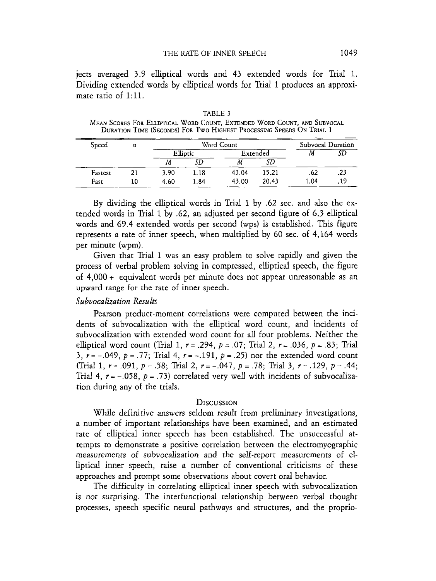jects averaged 3.9 elliptical words and 43 extended words for Trial 1. Dividing extended words by elliptical words for Trial 1 produces an approximate ratio of 1:11.

| Speed   | n  | Word Count |      |          |       | Subvocal Duration |     |
|---------|----|------------|------|----------|-------|-------------------|-----|
|         |    | Elliptic   |      | Extended |       | Μ                 | SD  |
|         |    | Μ          |      | М        | SD    |                   |     |
| Fastest |    | 3.90       | 1.18 | 43.04    | 15.21 | .62               | .23 |
| Fast    | 10 | 4.60       | 1.84 | 43.00    | 20.45 | 1.04              | .19 |

TABLE 3

MEAN SCORES FOR ELLIPTICAL WORD COUNT, EXTENDED WORD COUNT, AND SUBVOCAL DURATION TIME (SECONDS) FOR TWO HIGHEST PROCESSING SPEEDS ON TRIAL 1

By dividing the elliptical words in Trial 1 by .62 sec. and also the extended words in Trial 1 by .62, an adjusted per second figure of 6.3 elliptical words and 69.4 extended words per second (wps) is established. This figure represents a rate of inner speech, when multiplied by 60 sec. of 4,164 words per minute (wpm).

Given that Trial 1 was an easy problem to solve rapidly and given the process of verbal problem solving in compressed, elliptical speech, the figure of 4,000 + equivalent words per minute does not appear unreasonable as an upward range for the rate of inner speech.

## *Subvocalization Results*

Pearson product-moment correlations were computed between the incidents of subvocalization with the elliptical word count, and incidents of subvocalization with extended word count for **all** four problems. Neither the elliptical word count (Trial 1, *r* = ,294, *p* = .07; Trial 2, r = ,036, p = .83; Trial 3,  $r = -.049$ ,  $p = .77$ ; Trial 4,  $r = -.191$ ,  $p = .25$ ) nor the extended word count (Trial 1, *r=* .091, *p* = .58; Trial 2, *r=* -.047, *p* = .78; Trial 3, *r=* .129, *p* = .44; Trial 4,  $r = -0.058$ ,  $p = 0.73$ ) correlated very well with incidents of subvocalization during any of the trials.

#### **DISCUSSION**

While definitive answers seldom result from preliminary investigations, a number of important relationships have been examined, and an estimated rate of elliptical inner speech has been established. The unsuccessful attempts to demonstrate a positive correlation between the electromyographic measurements of subvocalization and the self-report measurements of elliptical inner speech, raise a number of conventional criticisms of these approaches and prompt some observations about covert oral behavior.

The difficulty in correlating elliptical inner speech with subvocalization is not surprising. The interfunctional relationship between verbal thought processes, speech specific neural pathways and structures, and the proprio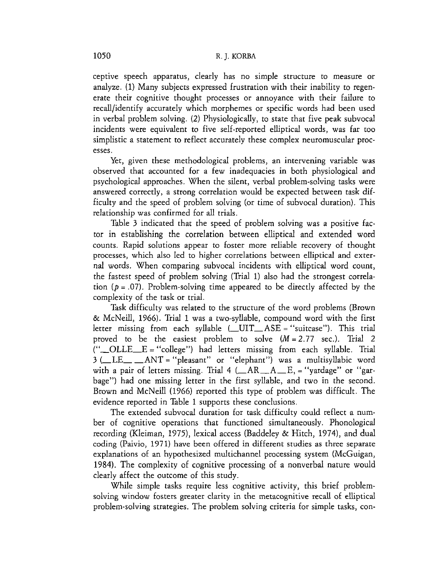ceptive speech apparatus, clearly has no simple structure to measure or analyze. (1) Many subjects expressed frustration with their inability to regenerate their cognitive thought processes or annoyance with their failure to recalllidentify accurately which morphemes or specific words had been used in verbal problem solving. (2) Physiologically, to state that five peak subvocal incidents were equivalent to five self-reported elliptical words, was far too simplistic a statement to reflect accurately these complex neuromuscular processes.

Yet, given these methodological problems, an intervening variable was observed that accounted for a few inadequacies in both physiological and psychological approaches. When the silent, verbal problem-solving tasks were answered correctly, a strong correlation would be expected between task difficulty and the speed of problem solving (or time of subvocal duration). This relationship was confirmed for **all** trials.

Table *3* indicated that the speed of problem solving was a positive factor in establishing the correlation between elliptical and extended word counts. Rapid solutions appear to foster more reliable recovery of thought processes, which also led to higher correlations between elliptical and external words. When comparing subvocal incidents with elliptical word count, the fastest speed of problem solving (Trial 1) also had the strongest correlation ( $p = .07$ ). Problem-solving time appeared to be directly affected by the complexity of the task or trial.

Task difficulty was related to the structure of the word problems (Brown & McNeill, 1966). Trial 1 was a two-syllable, compound word with the first letter missing from each syllable  $($  UIT ASE = "suitcase"). This trial proved to be the easiest problem to solve *(M* = 2.77 sec.). Trial 2 ("-OLLE-E = "college") had letters missing from each syllable. Trial 3 (LE\_ \_ANT = "pleasant" or "elephant") was a multisyllabic word with a pair of letters missing. Trial 4  $(AR_A - A_E) =$  "yardage" or "garbage") had one missing letter in the first syllable, and two in the second. Brown and McNeill (1966) reported this type of problem was difficult. The evidence reported in Table 1 supports these conclusions.

The extended subvocal duration for task difficulty could reflect a number of cognitive operations that functioned simultaneously. Phonological recording (Kleiman, 1975), lexical access (Baddeley & Hitch, 1974), and dual coding (Paivio, 1971) have been offered in different studies as three separate explanations of an hypothesized multichannel processing system (McGuigan, 1984). The complexity of cognitive processing of a nonverbal nature would clearly affect the outcome of this study.

While simple tasks require less cognitive activity, this brief problemsolving window fosters greater clarity in the metacognitive recall of elliptical problem-solving strategies. The problem solving criteria for simple tasks, con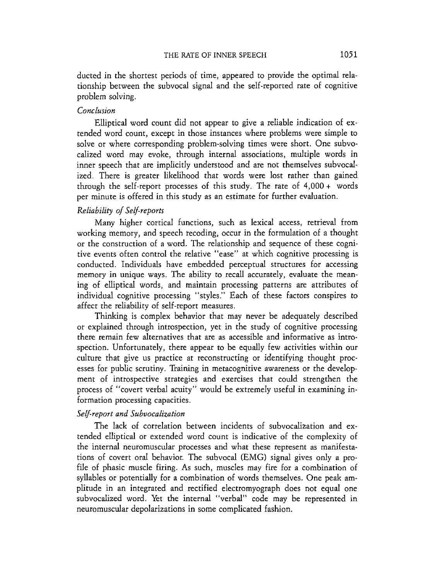ducted in the shortest periods of time, appeared to provide the optimal relationship between the subvocal signal and the self-reported rate of cognitive problem solving.

## *Conclusion*

Elliptical word count did not appear to give a reliable indication of extended word count, except in those instances where problems were simple to solve or where corresponding problem-solving times were short. One subvocalized word may evoke, through internal associations, multiple words in inner speech that are implicitly understood and are not themselves subvocalized. There is greater likelihood that words were lost rather than gained through the self-report processes of this study. The rate of 4,000 + words per minute is offered in this study as an estimate for further evaluation.

# *Reliability of Self-reports*

Many higher cortical functions, such as lexical access, retrieval from working memory, and speech recoding, occur in the formulation of a thought or the construction of a word. The relationship and sequence of these cognitive events often control the relative "ease" at which cognitive processing is conducted. Individuals have embedded perceptual structures for accessing memory in unique ways. The ability to recall accurately, evaluate the meaning of elliptical words, and maintain processing patterns are attributes of individual cognitive processing "styles." Each of these factors conspires to affect the reliability of self-report measures.

Thinking is complex behavior that may never be adequately described or explained through introspection, yet in the study of cognitive processing there remain few alternatives that are as accessible and informative as introspection. Unfortunately, there appear to be equally few activities within our culture that give us practice at reconstructing or identifying thought processes for public scrutiny. Training in metacognitive awareness or the development of introspective strategies and exercises that could strengthen the process of "covert verbal acuity" would be extremely useful in examining information processing capacities.

# *Self-report and Subvocalization*

The lack of correlation between incidents of subvocalization and extended elhptical or extended word count is indicative of the complexity of the internal neuromuscular processes and what these represent as manifestations of covert oral behavior. The subvocal (EMG) signal gives only a profile of phasic muscle firing. As such, muscles may fire for a combination of syllables or potentially for a combination of words themselves. One peak amplitude in an integrated and rectified electromyograph does not equal one subvocalized word. Yet the internal "verbal" code may be represented in neuromuscular depolarizations in some complicated fashion.